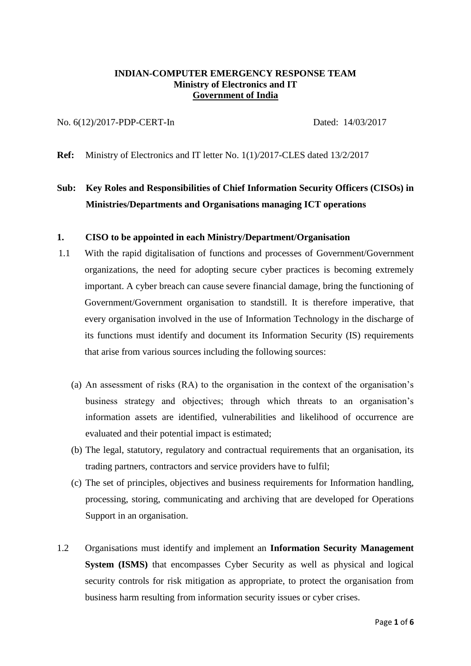## **INDIAN-COMPUTER EMERGENCY RESPONSE TEAM Ministry of Electronics and IT Government of India**

#### No. 6(12)/2017-PDP-CERT-In Dated: 14/03/2017

**Ref:** Ministry of Electronics and IT letter No. 1(1)/2017-CLES dated 13/2/2017

# **Sub: Key Roles and Responsibilities of Chief Information Security Officers (CISOs) in Ministries/Departments and Organisations managing ICT operations**

## **1. CISO to be appointed in each Ministry/Department/Organisation**

- 1.1 With the rapid digitalisation of functions and processes of Government/Government organizations, the need for adopting secure cyber practices is becoming extremely important. A cyber breach can cause severe financial damage, bring the functioning of Government/Government organisation to standstill. It is therefore imperative, that every organisation involved in the use of Information Technology in the discharge of its functions must identify and document its Information Security (IS) requirements that arise from various sources including the following sources:
	- (a) An assessment of risks (RA) to the organisation in the context of the organisation's business strategy and objectives; through which threats to an organisation's information assets are identified, vulnerabilities and likelihood of occurrence are evaluated and their potential impact is estimated;
	- (b) The legal, statutory, regulatory and contractual requirements that an organisation, its trading partners, contractors and service providers have to fulfil;
	- (c) The set of principles, objectives and business requirements for Information handling, processing, storing, communicating and archiving that are developed for Operations Support in an organisation.
- 1.2 Organisations must identify and implement an **Information Security Management System (ISMS)** that encompasses Cyber Security as well as physical and logical security controls for risk mitigation as appropriate, to protect the organisation from business harm resulting from information security issues or cyber crises.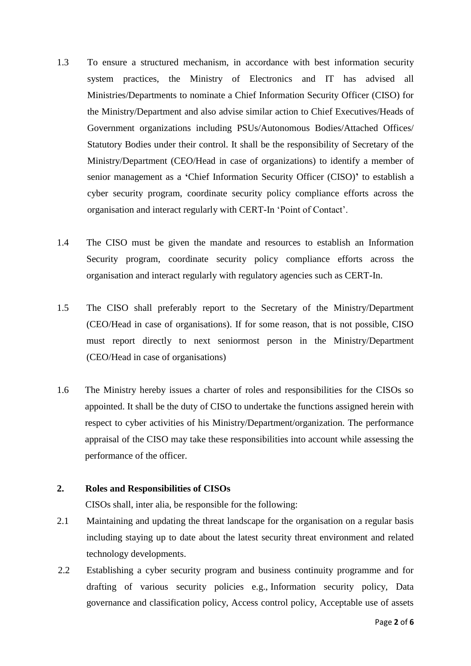- 1.3 To ensure a structured mechanism, in accordance with best information security system practices, the Ministry of Electronics and IT has advised all Ministries/Departments to nominate a Chief Information Security Officer (CISO) for the Ministry/Department and also advise similar action to Chief Executives/Heads of Government organizations including PSUs/Autonomous Bodies/Attached Offices/ Statutory Bodies under their control. It shall be the responsibility of Secretary of the Ministry/Department (CEO/Head in case of organizations) to identify a member of senior management as a **'**Chief Information Security Officer (CISO)**'** to establish a cyber security program, coordinate security policy compliance efforts across the organisation and interact regularly with CERT-In 'Point of Contact'.
- 1.4 The CISO must be given the mandate and resources to establish an Information Security program, coordinate security policy compliance efforts across the organisation and interact regularly with regulatory agencies such as CERT-In.
- 1.5 The CISO shall preferably report to the Secretary of the Ministry/Department (CEO/Head in case of organisations). If for some reason, that is not possible, CISO must report directly to next seniormost person in the Ministry/Department (CEO/Head in case of organisations)
- 1.6 The Ministry hereby issues a charter of roles and responsibilities for the CISOs so appointed. It shall be the duty of CISO to undertake the functions assigned herein with respect to cyber activities of his Ministry/Department/organization. The performance appraisal of the CISO may take these responsibilities into account while assessing the performance of the officer.

## **2. Roles and Responsibilities of CISOs**

CISOs shall, inter alia, be responsible for the following:

- 2.1 Maintaining and updating the threat landscape for the organisation on a regular basis including staying up to date about the latest security threat environment and related technology developments.
- 2.2 Establishing a cyber security program and business continuity programme and for drafting of various security policies e.g., Information security policy, Data governance and classification policy, Access control policy, Acceptable use of assets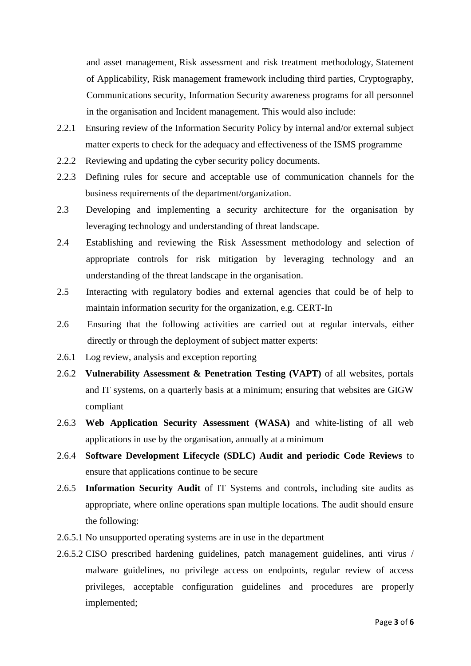and asset management, Risk assessment and risk treatment methodology, Statement of Applicability, Risk management framework including third parties, Cryptography, Communications security, Information Security awareness programs for all personnel in the organisation and Incident management. This would also include:

- 2.2.1 Ensuring review of the Information Security Policy by internal and/or external subject matter experts to check for the adequacy and effectiveness of the ISMS programme
- 2.2.2 Reviewing and updating the cyber security policy documents.
- 2.2.3 Defining rules for secure and acceptable use of communication channels for the business requirements of the department/organization.
- 2.3 Developing and implementing a security architecture for the organisation by leveraging technology and understanding of threat landscape.
- 2.4 Establishing and reviewing the Risk Assessment methodology and selection of appropriate controls for risk mitigation by leveraging technology and an understanding of the threat landscape in the organisation.
- 2.5 Interacting with regulatory bodies and external agencies that could be of help to maintain information security for the organization, e.g. CERT-In
- 2.6 Ensuring that the following activities are carried out at regular intervals, either directly or through the deployment of subject matter experts:
- 2.6.1 Log review, analysis and exception reporting
- 2.6.2 **Vulnerability Assessment & Penetration Testing (VAPT)** of all websites, portals and IT systems, on a quarterly basis at a minimum; ensuring that websites are GIGW compliant
- 2.6.3 **Web Application Security Assessment (WASA)** and white-listing of all web applications in use by the organisation, annually at a minimum
- 2.6.4 **Software Development Lifecycle (SDLC) Audit and periodic Code Reviews** to ensure that applications continue to be secure
- 2.6.5 **Information Security Audit** of IT Systems and controls**,** including site audits as appropriate, where online operations span multiple locations. The audit should ensure the following:
- 2.6.5.1 No unsupported operating systems are in use in the department
- 2.6.5.2 CISO prescribed hardening guidelines, patch management guidelines, anti virus / malware guidelines, no privilege access on endpoints, regular review of access privileges, acceptable configuration guidelines and procedures are properly implemented;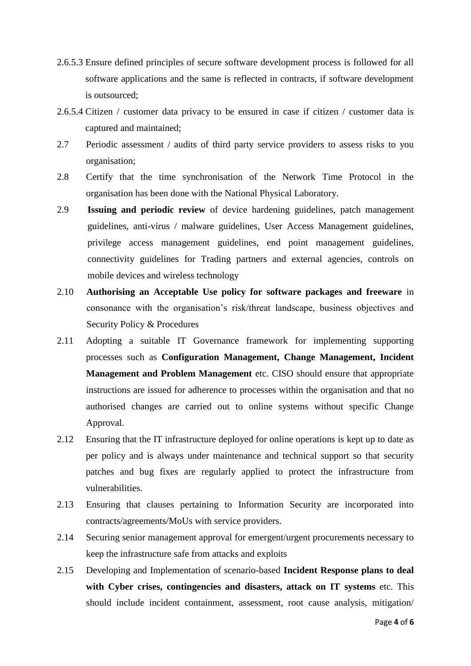- 2.6.5.3 Ensure defined principles of secure software development process is followed for all software applications and the same is reflected in contracts, if software development is outsourced;
- 2.6.5.4 Citizen / customer data privacy to be ensured in case if citizen / customer data is captured and maintained;
- 2.7 Periodic assessment / audits of third party service providers to assess risks to you organisation;
- 2.8 Certify that the time synchronisation of the Network Time Protocol in the organisation has been done with the National Physical Laboratory.
- 2.9 **Issuing and periodic review** of device hardening guidelines, patch management guidelines, anti-virus / malware guidelines, User Access Management guidelines, privilege access management guidelines, end point management guidelines, connectivity guidelines for Trading partners and external agencies, controls on mobile devices and wireless technology
- 2.10 **Authorising an Acceptable Use policy for software packages and freeware** in consonance with the organisation's risk/threat landscape, business objectives and Security Policy & Procedures
- 2.11 Adopting a suitable IT Governance framework for implementing supporting processes such as **Configuration Management, Change Management, Incident Management and Problem Management** etc. CISO should ensure that appropriate instructions are issued for adherence to processes within the organisation and that no authorised changes are carried out to online systems without specific Change Approval.
- 2.12 Ensuring that the IT infrastructure deployed for online operations is kept up to date as per policy and is always under maintenance and technical support so that security patches and bug fixes are regularly applied to protect the infrastructure from vulnerabilities.
- 2.13 Ensuring that clauses pertaining to Information Security are incorporated into contracts/agreements/MoUs with service providers.
- 2.14 Securing senior management approval for emergent/urgent procurements necessary to keep the infrastructure safe from attacks and exploits
- 2.15 Developing and Implementation of scenario-based **Incident Response plans to deal with Cyber crises, contingencies and disasters, attack on IT systems** etc. This should include incident containment, assessment, root cause analysis, mitigation/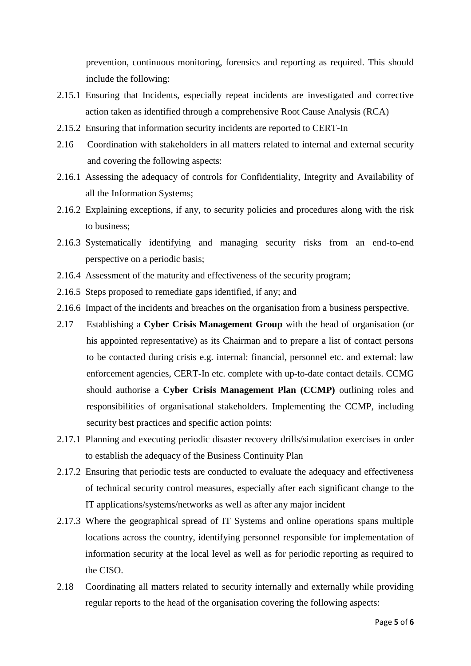prevention, continuous monitoring, forensics and reporting as required. This should include the following:

- 2.15.1 Ensuring that Incidents, especially repeat incidents are investigated and corrective action taken as identified through a comprehensive Root Cause Analysis (RCA)
- 2.15.2 Ensuring that information security incidents are reported to CERT-In
- 2.16 Coordination with stakeholders in all matters related to internal and external security and covering the following aspects:
- 2.16.1 Assessing the adequacy of controls for Confidentiality, Integrity and Availability of all the Information Systems;
- 2.16.2 Explaining exceptions, if any, to security policies and procedures along with the risk to business;
- 2.16.3 Systematically identifying and managing security risks from an end-to-end perspective on a periodic basis;
- 2.16.4 Assessment of the maturity and effectiveness of the security program;
- 2.16.5 Steps proposed to remediate gaps identified, if any; and
- 2.16.6 Impact of the incidents and breaches on the organisation from a business perspective.
- 2.17 Establishing a **Cyber Crisis Management Group** with the head of organisation (or his appointed representative) as its Chairman and to prepare a list of contact persons to be contacted during crisis e.g. internal: financial, personnel etc. and external: law enforcement agencies, CERT-In etc. complete with up-to-date contact details. CCMG should authorise a **Cyber Crisis Management Plan (CCMP)** outlining roles and responsibilities of organisational stakeholders. Implementing the CCMP, including security best practices and specific action points:
- 2.17.1 Planning and executing periodic disaster recovery drills/simulation exercises in order to establish the adequacy of the Business Continuity Plan
- 2.17.2 Ensuring that periodic tests are conducted to evaluate the adequacy and effectiveness of technical security control measures, especially after each significant change to the IT applications/systems/networks as well as after any major incident
- 2.17.3 Where the geographical spread of IT Systems and online operations spans multiple locations across the country, identifying personnel responsible for implementation of information security at the local level as well as for periodic reporting as required to the CISO.
- 2.18 Coordinating all matters related to security internally and externally while providing regular reports to the head of the organisation covering the following aspects: